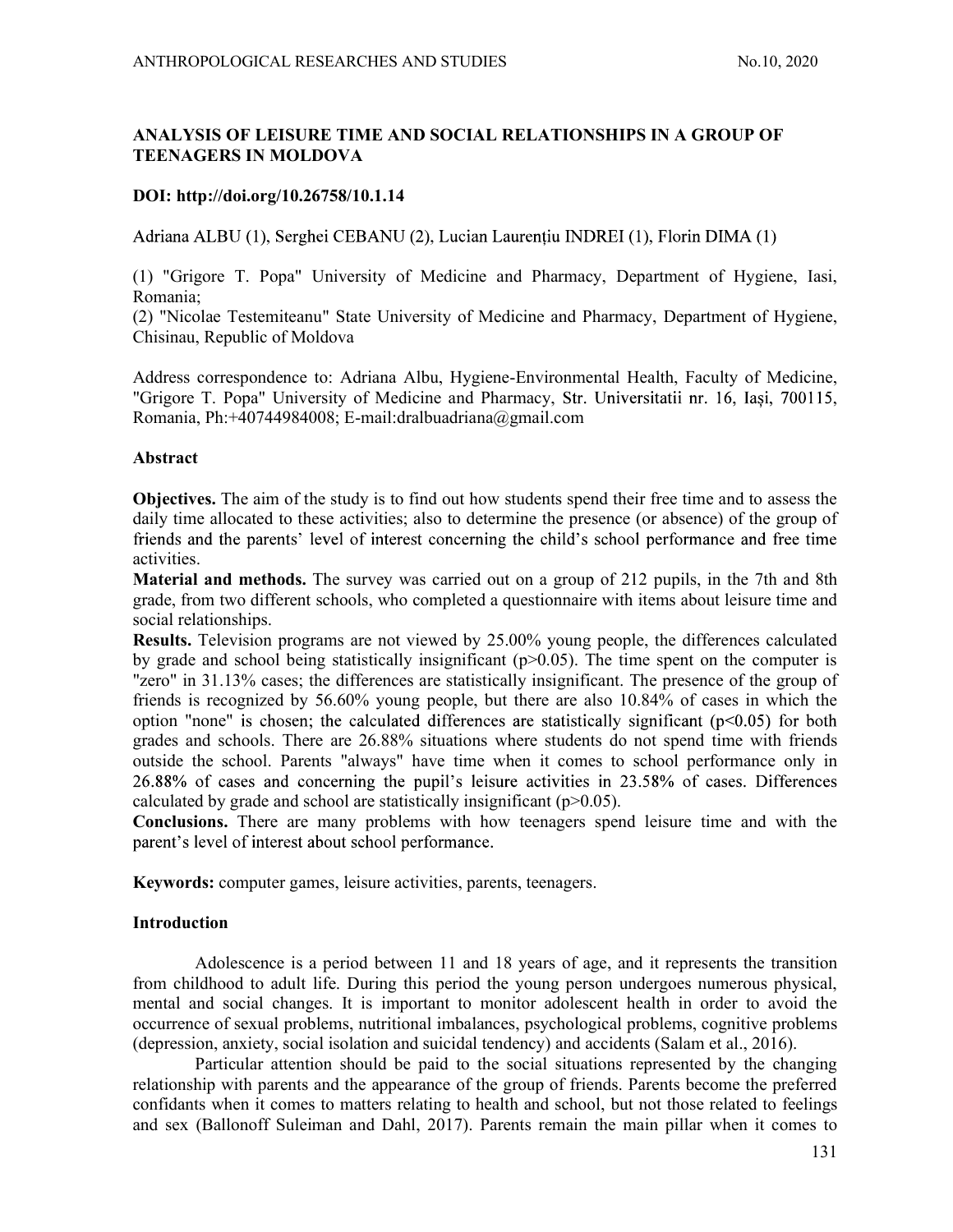# ANALYSIS OF LEISURE TIME AND SOCIAL RELATIONSHIPS IN A GROUP OF TEENAGERS IN MOLDOVA

# DOI: http://doi.org/10.26758/10.1.14

Adriana ALBU (1), Serghei CEBANU (2), Lucian Laurențiu INDREI (1), Florin DIMA (1)

(1) "Grigore T. Popa" University of Medicine and Pharmacy, Department of Hygiene, Iasi, Romania;

(2) "Nicolae Testemiteanu" State University of Medicine and Pharmacy, Department of Hygiene, Chisinau, Republic of Moldova

Address correspondence to: Adriana Albu, Hygiene-Environmental Health, Faculty of Medicine, "Grigore T. Popa" University of Medicine and Pharmacy, Romania, Ph:+40744984008; E-mail:dralbuadriana@gmail.com

## Abstract

Objectives. The aim of the study is to find out how students spend their free time and to assess the daily time allocated to these activities; also to determine the presence (or absence) of the group of friends and the parents' level of interest concerning the child's school performance and free time activities.

Material and methods. The survey was carried out on a group of 212 pupils, in the 7th and 8th grade, from two different schools, who completed a questionnaire with items about leisure time and social relationships.

Results. Television programs are not viewed by 25.00% young people, the differences calculated by grade and school being statistically insignificant  $(p>0.05)$ . The time spent on the computer is "zero" in 31.13% cases; the differences are statistically insignificant. The presence of the group of friends is recognized by 56.60% young people, but there are also 10.84% of cases in which the option "none" is chosen; the calculated differences are statistically significant  $(p<0.05)$  for both grades and schools. There are 26.88% situations where students do not spend time with friends outside the school. Parents "always" have time when it comes to school performance only in 26.88% of cases and concerning the pupil's leisure activities in 23.58% of cases. Differences calculated by grade and school are statistically insignificant  $(p>0.05)$ .

Conclusions. There are many problems with how teenagers spend leisure time and with the parent's level of interest about school performance.

Keywords: computer games, leisure activities, parents, teenagers.

## Introduction

 Adolescence is a period between 11 and 18 years of age, and it represents the transition from childhood to adult life. During this period the young person undergoes numerous physical, mental and social changes. It is important to monitor adolescent health in order to avoid the occurrence of sexual problems, nutritional imbalances, psychological problems, cognitive problems (depression, anxiety, social isolation and suicidal tendency) and accidents (Salam et al., 2016).

 Particular attention should be paid to the social situations represented by the changing relationship with parents and the appearance of the group of friends. Parents become the preferred confidants when it comes to matters relating to health and school, but not those related to feelings and sex (Ballonoff Suleiman and Dahl, 2017). Parents remain the main pillar when it comes to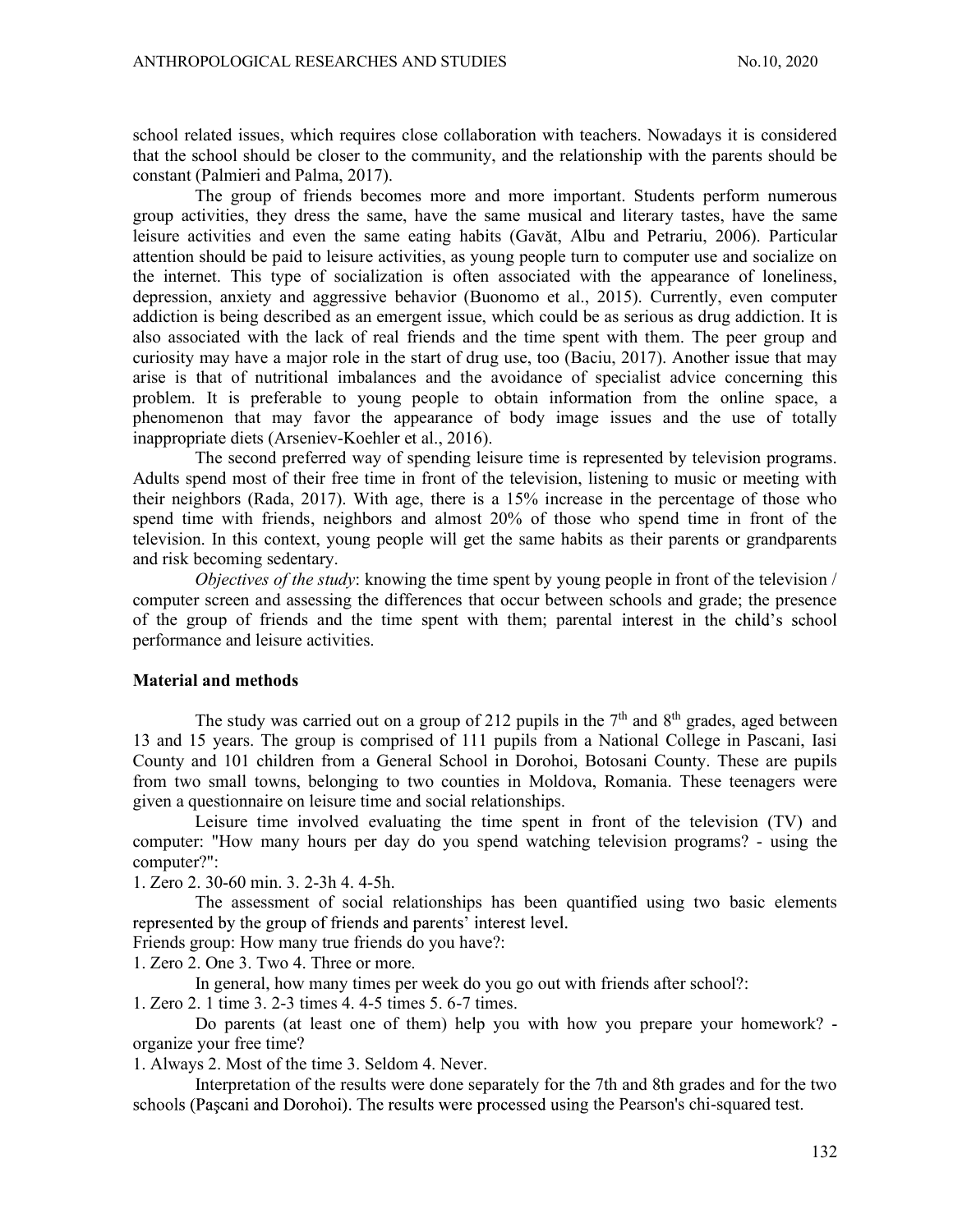school related issues, which requires close collaboration with teachers. Nowadays it is considered that the school should be closer to the community, and the relationship with the parents should be constant (Palmieri and Palma, 2017).

 The group of friends becomes more and more important. Students perform numerous group activities, they dress the same, have the same musical and literary tastes, have the same leisure activities and even the same eating habits (Gavăt, Albu and Petrariu, 2006). Particular attention should be paid to leisure activities, as young people turn to computer use and socialize on the internet. This type of socialization is often associated with the appearance of loneliness, depression, anxiety and aggressive behavior (Buonomo et al., 2015). Currently, even computer addiction is being described as an emergent issue, which could be as serious as drug addiction. It is also associated with the lack of real friends and the time spent with them. The peer group and curiosity may have a major role in the start of drug use, too (Baciu, 2017). Another issue that may arise is that of nutritional imbalances and the avoidance of specialist advice concerning this problem. It is preferable to young people to obtain information from the online space, a phenomenon that may favor the appearance of body image issues and the use of totally inappropriate diets (Arseniev-Koehler et al., 2016).

 The second preferred way of spending leisure time is represented by television programs. Adults spend most of their free time in front of the television, listening to music or meeting with their neighbors (Rada, 2017). With age, there is a 15% increase in the percentage of those who spend time with friends, neighbors and almost 20% of those who spend time in front of the television. In this context, young people will get the same habits as their parents or grandparents and risk becoming sedentary.

 Objectives of the study: knowing the time spent by young people in front of the television / computer screen and assessing the differences that occur between schools and grade; the presence of the group of friends and the time spent with them; parental interest in the child's school performance and leisure activities.

#### Material and methods

The study was carried out on a group of 212 pupils in the  $7<sup>th</sup>$  and  $8<sup>th</sup>$  grades, aged between 13 and 15 years. The group is comprised of 111 pupils from a National College in Pascani, Iasi County and 101 children from a General School in Dorohoi, Botosani County. These are pupils from two small towns, belonging to two counties in Moldova, Romania. These teenagers were given a questionnaire on leisure time and social relationships.

 Leisure time involved evaluating the time spent in front of the television (TV) and computer: "How many hours per day do you spend watching television programs? - using the computer?":

1. Zero 2. 30-60 min. 3. 2-3h 4. 4-5h.

The assessment of social relationships has been quantified using two basic elements represented by the group of friends and parents' interest level.

Friends group: How many true friends do you have?:

1. Zero 2. One 3. Two 4. Three or more.

In general, how many times per week do you go out with friends after school?:

1. Zero 2. 1 time 3. 2-3 times 4. 4-5 times 5. 6-7 times.

Do parents (at least one of them) help you with how you prepare your homework? organize your free time?

1. Always 2. Most of the time 3. Seldom 4. Never.

Interpretation of the results were done separately for the 7th and 8th grades and for the two schools (Pașcani and Dorohoi). The results were processed using the Pearson's chi-squared test.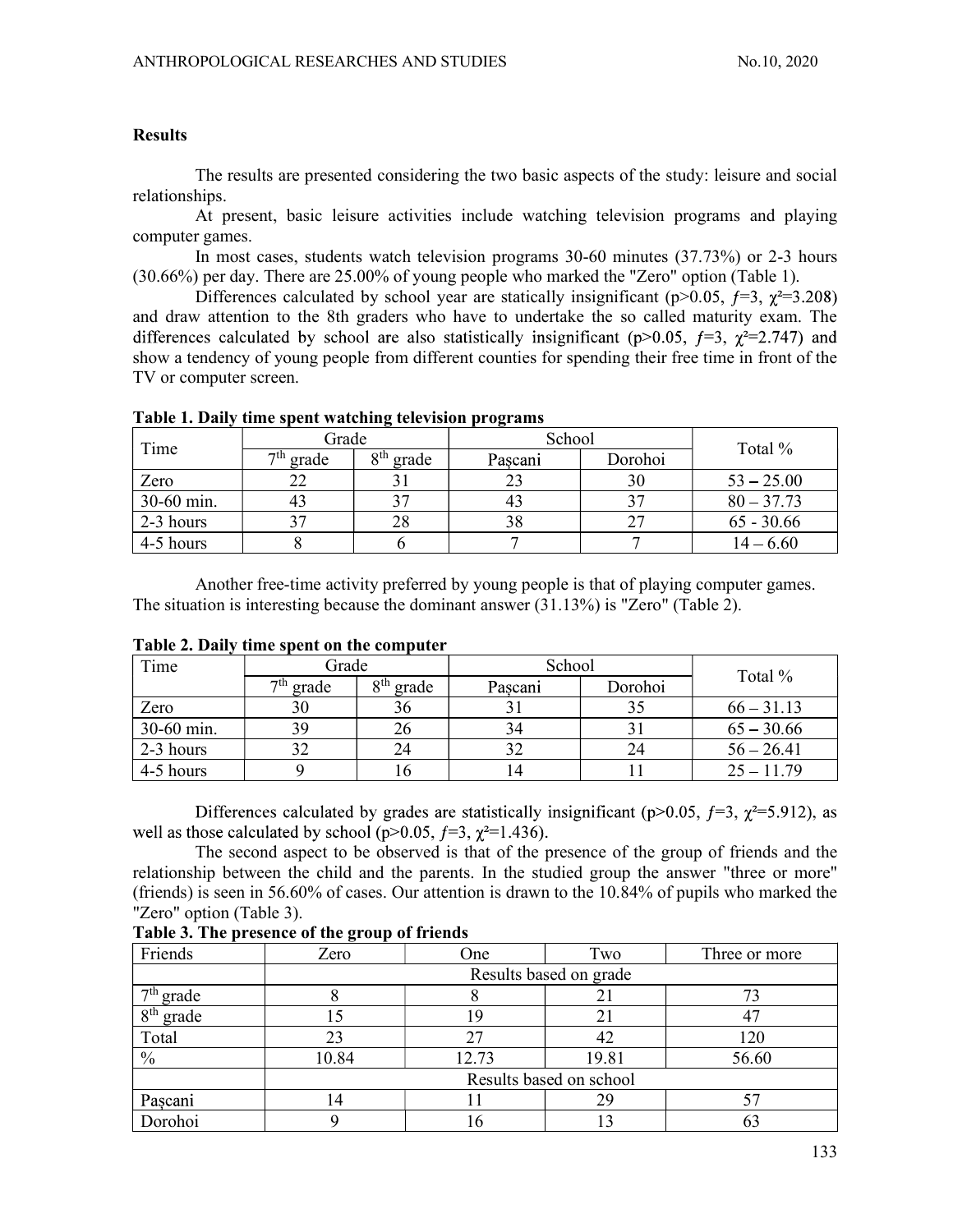## **Results**

The results are presented considering the two basic aspects of the study: leisure and social relationships.

At present, basic leisure activities include watching television programs and playing computer games.

In most cases, students watch television programs 30-60 minutes (37.73%) or 2-3 hours (30.66%) per day. There are 25.00% of young people who marked the "Zero" option (Table 1).

Differences calculated by school year are statically insignificant (p>0.05,  $f=3$ ,  $\chi^2=3.208$ ) and draw attention to the 8th graders who have to undertake the so called maturity exam. The differences calculated by school are also statistically insignificant (p>0.05,  $f=3$ ,  $\chi^2=2.747$ ) and show a tendency of young people from different counties for spending their free time in front of the TV or computer screen.

|            |             |                 | - -     |         |              |
|------------|-------------|-----------------|---------|---------|--------------|
|            | Grade       |                 | School  |         |              |
| Time       | $7th$ grade | $8th$ grade     | Pascani | Dorohoi | Total %      |
| Zero       | ∠∠          |                 |         | 30      | $53 - 25.00$ |
| 30-60 min. |             | $\gamma$ $\tau$ | 41      |         | $80 - 37.73$ |
| 2-3 hours  |             | 28              | 38      | $\sim$  | $65 - 30.66$ |
| 4-5 hours  |             |                 |         |         | $14 - 6.60$  |

Table 1. Daily time spent watching television programs

Another free-time activity preferred by young people is that of playing computer games. The situation is interesting because the dominant answer (31.13%) is "Zero" (Table 2).

| Time       | Grade |             | School |       |  | Total % |         |  |              |
|------------|-------|-------------|--------|-------|--|---------|---------|--|--------------|
|            |       | $7th$ grade | oth    | grade |  | Pascani | Dorohoi |  |              |
| Zero       |       | 30          | 36     |       |  |         |         |  | $66 - 31.13$ |
| 30-60 min. |       | 39          | 26     |       |  |         |         |  | $65 - 30.66$ |
| 2-3 hours  |       |             | 24     |       |  |         | 24      |  | $56 - 26.41$ |
| 4-5 hours  |       |             | 10     |       |  |         |         |  | $25 - 11.79$ |

Table 2. Daily time spent on the computer

Differences calculated by grades are statistically insignificant (p>0.05,  $f=3$ ,  $\chi^2=5.912$ ), as well as those calculated by school ( $p>0.05$ ,  $f=3$ ,  $\chi^2=1.436$ ).<br>The second aspect to be observed is that of the presence of the group of friends and the

relationship between the child and the parents. In the studied group the answer "three or more" (friends) is seen in 56.60% of cases. Our attention is drawn to the 10.84% of pupils who marked the "Zero" option (Table 3).

| Friends                          | Zero                    | One   | Two   | Three or more |  |  |  |  |
|----------------------------------|-------------------------|-------|-------|---------------|--|--|--|--|
|                                  | Results based on grade  |       |       |               |  |  |  |  |
| $7^{\overline{\text{th}}}$ grade |                         |       | ◢     |               |  |  |  |  |
| $8th$ grade                      |                         |       |       |               |  |  |  |  |
| Total                            |                         |       | 42    | 120           |  |  |  |  |
| $\frac{0}{0}$                    | 10.84                   | 12.73 | 19.81 | 56.60         |  |  |  |  |
|                                  | Results based on school |       |       |               |  |  |  |  |
| Pașcani                          |                         |       | 29    |               |  |  |  |  |
| Dorohoi                          |                         | 10    |       | 63            |  |  |  |  |

Table 3. The presence of the group of friends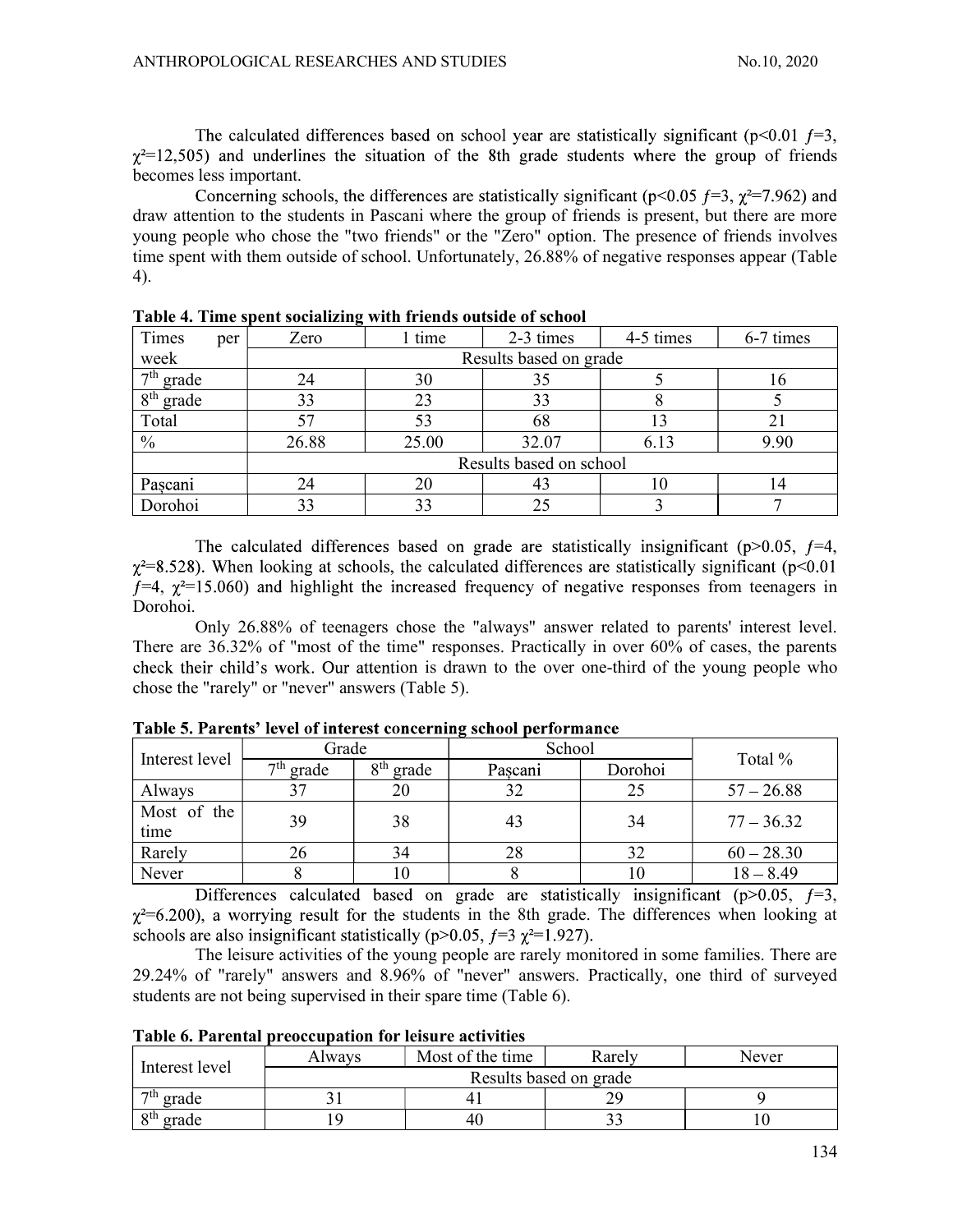The calculated differences based on school year are statistically significant ( $p<0.01 f=3$ ,  $\gamma^2$ =12,505) and underlines the situation of the 8th grade students where the group of friends becomes less important.

Concerning schools, the differences are statistically significant ( $p<0.05$   $f=3$ ,  $\chi^2=7.962$ ) and draw attention to the students in Pascani where the group of friends is present, but there are more young people who chose the "two friends" or the "Zero" option. The presence of friends involves time spent with them outside of school. Unfortunately, 26.88% of negative responses appear (Table 4).

| Times<br>per  | Zero  | l time                  | 2-3 times              | 4-5 times | 6-7 times |  |  |  |
|---------------|-------|-------------------------|------------------------|-----------|-----------|--|--|--|
| week          |       |                         | Results based on grade |           |           |  |  |  |
| $7th$ grade   | 24    | 30                      |                        |           | ıо        |  |  |  |
| $8th$ grade   | 33    | 23                      | 33                     |           |           |  |  |  |
| Total         | 57    | 53                      | 68                     |           | 21        |  |  |  |
| $\frac{0}{0}$ | 26.88 | 25.00                   | 32.07                  | 6.13      | 9.90      |  |  |  |
|               |       | Results based on school |                        |           |           |  |  |  |
| Pașcani       | 24    | 20                      | 43                     | 10        |           |  |  |  |
| Dorohoi       | 33    | 33                      |                        |           |           |  |  |  |

Table 4. Time spent socializing with friends outside of school

The calculated differences based on grade are statistically insignificant ( $p>0.05$ ,  $f=4$ ,  $\gamma^2$ =8.528). When looking at schools, the calculated differences are statistically significant (p<0.01  $f=4$ ,  $\chi^2=15.060$ ) and highlight the increased frequency of negative responses from teenagers in Dorohoi.

Only 26.88% of teenagers chose the "always" answer related to parents' interest level. There are 36.32% of "most of the time" responses. Practically in over 60% of cases, the parents check their child's work. Our attention is drawn to the over one-third of the young people who chose the "rarely" or "never" answers (Table 5).

|                     | Grade       |             | School  |         | Total %      |  |
|---------------------|-------------|-------------|---------|---------|--------------|--|
| Interest level      | $7th$ grade | $8th$ grade | Pascani | Dorohoi |              |  |
| Always              |             | 20          |         |         | $57 - 26.88$ |  |
| Most of the<br>time | 39          | 38          | 43      | 34      | $77 - 36.32$ |  |
| Rarely              |             | 34          | 28      |         | $60 - 28.30$ |  |
| Never               |             | 10          |         | 10      | $18 - 8.49$  |  |

Table 5. Parents' level of interest concerning school performance

Differences calculated based on grade are statistically insignificant ( $p > 0.05$ ,  $f = 3$ ,  $\chi^2$ =6.200), a worrying result for the students in the 8th grade. The differences when looking at schools are also insignificant statistically ( $p>0.05$ ,  $f=3$   $\chi^2=1.927$ ).

The leisure activities of the young people are rarely monitored in some families. There are 29.24% of "rarely" answers and 8.96% of "never" answers. Practically, one third of surveyed students are not being supervised in their spare time (Table 6).

| Interest level                  | Alwavs                 | Most of the time | Rarely | Never |  |  |  |
|---------------------------------|------------------------|------------------|--------|-------|--|--|--|
|                                 | Results based on grade |                  |        |       |  |  |  |
| $\tau$ <sup>th</sup> grade      |                        |                  | ററ     |       |  |  |  |
| <b>Qth</b><br>grade<br>$\Omega$ |                        | 40               | ◡      |       |  |  |  |

Table 6. Parental preoccupation for leisure activities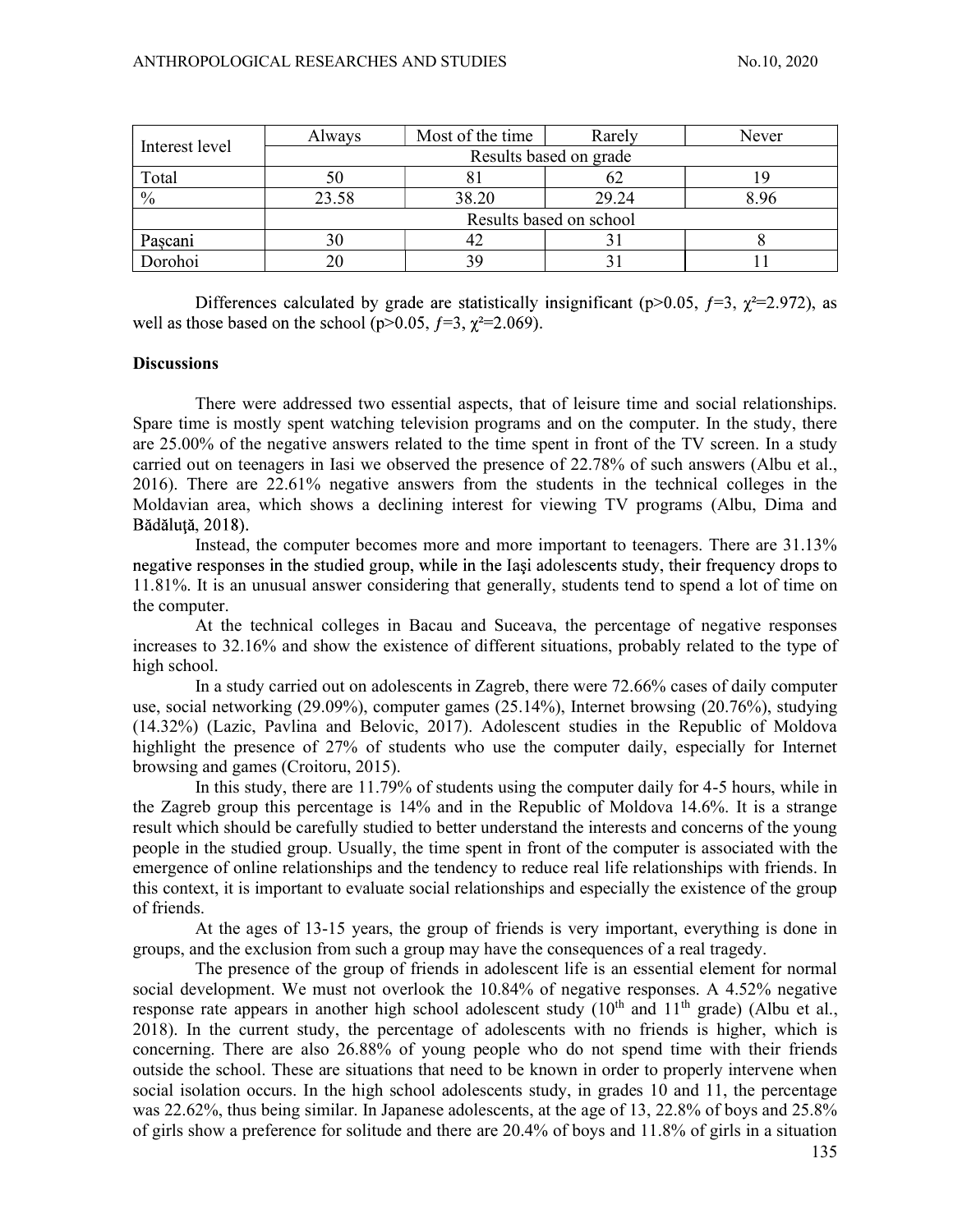| Interest level | Always                 | Most of the time        | Rarely | Never |  |  |  |  |
|----------------|------------------------|-------------------------|--------|-------|--|--|--|--|
|                | Results based on grade |                         |        |       |  |  |  |  |
| Total          | 50                     | $\mathbf{O}$            | 02     |       |  |  |  |  |
| $\%$           | 23.58                  | 38.20                   | 29.24  | 8.96  |  |  |  |  |
|                |                        | Results based on school |        |       |  |  |  |  |
| Pascani        | 30                     | 42                      |        |       |  |  |  |  |
| Dorohoi        | 20                     |                         | ر ر    |       |  |  |  |  |

Differences calculated by grade are statistically insignificant (p>0.05,  $f=3$ ,  $\gamma^2=2.972$ ), as well as those based on the school ( $p>0.05$ ,  $f=3$ ,  $\chi^2=2.069$ ).

## **Discussions**

There were addressed two essential aspects, that of leisure time and social relationships. Spare time is mostly spent watching television programs and on the computer. In the study, there are 25.00% of the negative answers related to the time spent in front of the TV screen. In a study carried out on teenagers in Iasi we observed the presence of 22.78% of such answers (Albu et al., 2016). There are 22.61% negative answers from the students in the technical colleges in the Moldavian area, which shows a declining interest for viewing TV programs (Albu, Dima and Bădăluță, 2018).

Instead, the computer becomes more and more important to teenagers. There are 31.13% negative responses in the studied group, while in the Iasi adolescents study, their frequency drops to 11.81%. It is an unusual answer considering that generally, students tend to spend a lot of time on the computer.

At the technical colleges in Bacau and Suceava, the percentage of negative responses increases to 32.16% and show the existence of different situations, probably related to the type of high school.

In a study carried out on adolescents in Zagreb, there were 72.66% cases of daily computer use, social networking (29.09%), computer games (25.14%), Internet browsing (20.76%), studying (14.32%) (Lazic, Pavlina and Belovic, 2017). Adolescent studies in the Republic of Moldova highlight the presence of 27% of students who use the computer daily, especially for Internet browsing and games (Croitoru, 2015).

In this study, there are 11.79% of students using the computer daily for 4-5 hours, while in the Zagreb group this percentage is 14% and in the Republic of Moldova 14.6%. It is a strange result which should be carefully studied to better understand the interests and concerns of the young people in the studied group. Usually, the time spent in front of the computer is associated with the emergence of online relationships and the tendency to reduce real life relationships with friends. In this context, it is important to evaluate social relationships and especially the existence of the group of friends.

At the ages of 13-15 years, the group of friends is very important, everything is done in groups, and the exclusion from such a group may have the consequences of a real tragedy.

The presence of the group of friends in adolescent life is an essential element for normal social development. We must not overlook the 10.84% of negative responses. A 4.52% negative response rate appears in another high school adolescent study (10<sup>th</sup> and 11<sup>th</sup> grade) (Albu et al., 2018). In the current study, the percentage of adolescents with no friends is higher, which is concerning. There are also 26.88% of young people who do not spend time with their friends outside the school. These are situations that need to be known in order to properly intervene when social isolation occurs. In the high school adolescents study, in grades 10 and 11, the percentage was 22.62%, thus being similar. In Japanese adolescents, at the age of 13, 22.8% of boys and 25.8% of girls show a preference for solitude and there are 20.4% of boys and 11.8% of girls in a situation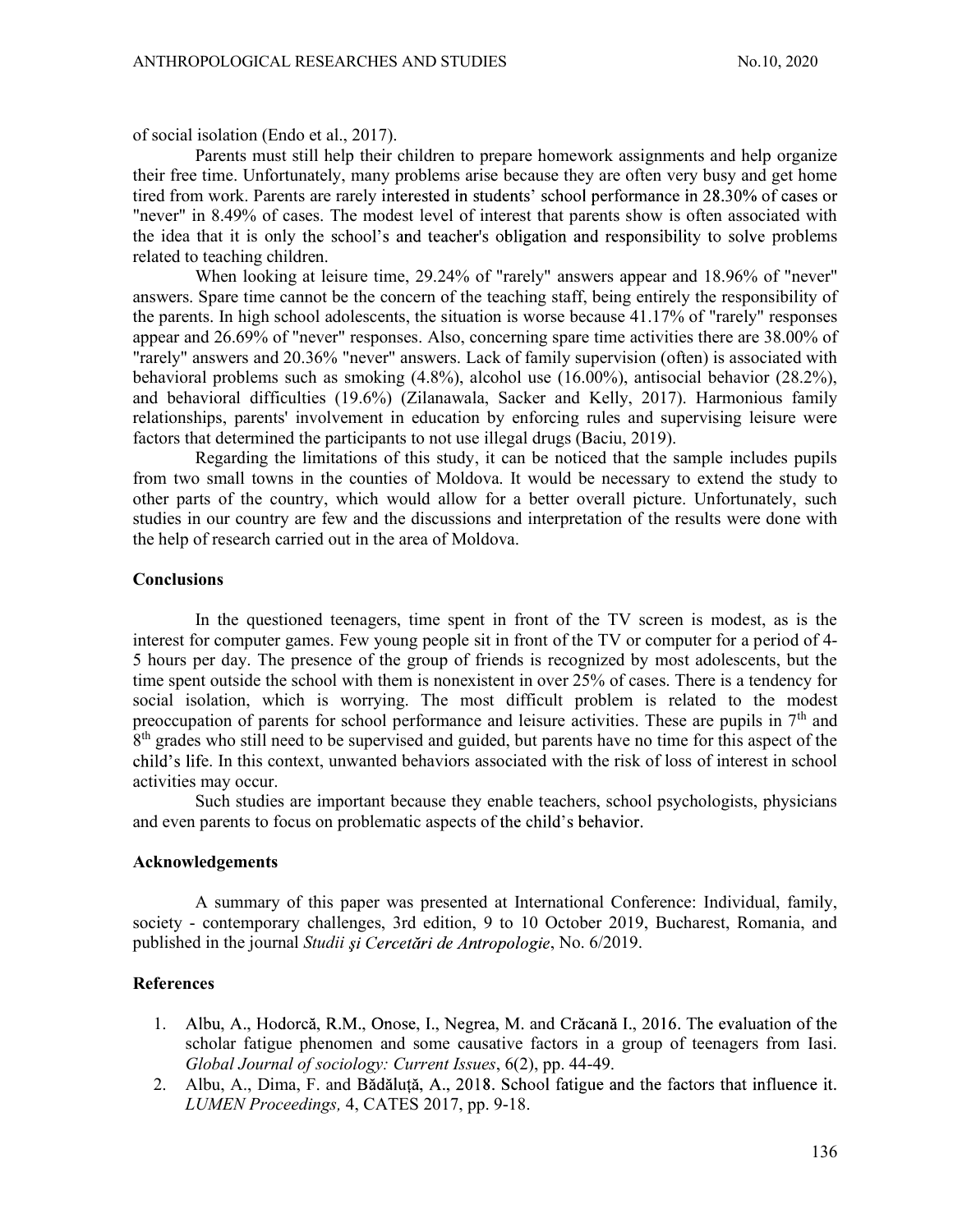of social isolation (Endo et al., 2017).

Parents must still help their children to prepare homework assignments and help organize their free time. Unfortunately, many problems arise because they are often very busy and get home tired from work. Parents are rarely interested in students' school performance in 28.30% of cases or "never" in 8.49% of cases. The modest level of interest that parents show is often associated with the idea that it is only the school's and teacher's obligation and responsibility to solve problems related to teaching children.

When looking at leisure time, 29.24% of "rarely" answers appear and 18.96% of "never" answers. Spare time cannot be the concern of the teaching staff, being entirely the responsibility of the parents. In high school adolescents, the situation is worse because 41.17% of "rarely" responses appear and 26.69% of "never" responses. Also, concerning spare time activities there are 38.00% of "rarely" answers and 20.36% "never" answers. Lack of family supervision (often) is associated with behavioral problems such as smoking (4.8%), alcohol use (16.00%), antisocial behavior (28.2%), and behavioral difficulties (19.6%) (Zilanawala, Sacker and Kelly, 2017). Harmonious family relationships, parents' involvement in education by enforcing rules and supervising leisure were factors that determined the participants to not use illegal drugs (Baciu, 2019).

Regarding the limitations of this study, it can be noticed that the sample includes pupils from two small towns in the counties of Moldova. It would be necessary to extend the study to other parts of the country, which would allow for a better overall picture. Unfortunately, such studies in our country are few and the discussions and interpretation of the results were done with the help of research carried out in the area of Moldova.

#### **Conclusions**

In the questioned teenagers, time spent in front of the TV screen is modest, as is the interest for computer games. Few young people sit in front of the TV or computer for a period of 4- 5 hours per day. The presence of the group of friends is recognized by most adolescents, but the time spent outside the school with them is nonexistent in over 25% of cases. There is a tendency for social isolation, which is worrying. The most difficult problem is related to the modest preoccupation of parents for school performance and leisure activities. These are pupils in  $7<sup>th</sup>$  and 8<sup>th</sup> grades who still need to be supervised and guided, but parents have no time for this aspect of the child's life. In this context, unwanted behaviors associated with the risk of loss of interest in school activities may occur.

Such studies are important because they enable teachers, school psychologists, physicians and even parents to focus on problematic aspects of the child's behavior.

#### Acknowledgements

A summary of this paper was presented at International Conference: Individual, family, society - contemporary challenges, 3rd edition, 9 to 10 October 2019, Bucharest, Romania, and published in the journal Studii și Cercetări de Antropologie, No. 6/2019.

## **References**

- 1. Albu, A., Hodorcă, R.M., Onose, I., Negrea, M. and Crăcană I., 2016. The evaluation of the scholar fatigue phenomen and some causative factors in a group of teenagers from Iasi. Global Journal of sociology: Current Issues, 6(2), pp. 44-49.
- 2. Albu, A., Dima, F. and Bădăluță, A., 2018. School fatigue and the factors that influence it. LUMEN Proceedings, 4, CATES 2017, pp. 9-18.